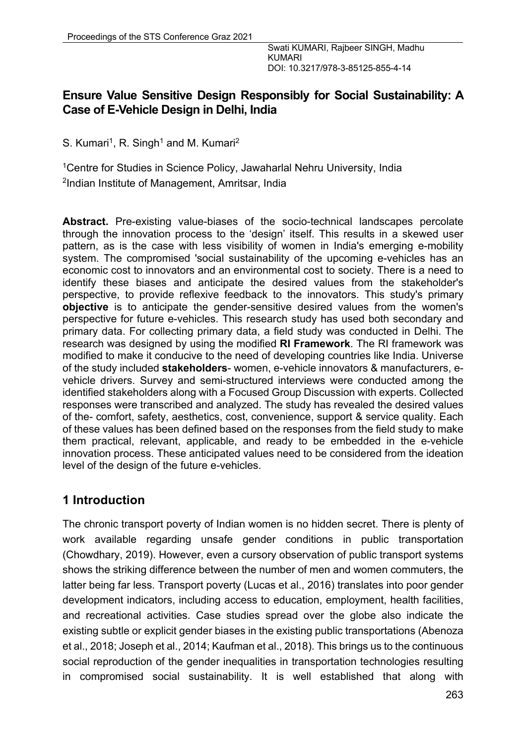## **Ensure Value Sensitive Design Responsibly for Social Sustainability: A Case of E-Vehicle Design in Delhi, India**

S. Kumari<sup>1</sup>, R. Singh<sup>1</sup> and M. Kumari<sup>2</sup>

<sup>1</sup>Centre for Studies in Science Policy, Jawaharlal Nehru University, India 2Indian Institute of Management, Amritsar, India

**Abstract.** Pre-existing value-biases of the socio-technical landscapes percolate through the innovation process to the 'design' itself. This results in a skewed user pattern, as is the case with less visibility of women in India's emerging e-mobility system. The compromised 'social sustainability of the upcoming e-vehicles has an economic cost to innovators and an environmental cost to society. There is a need to identify these biases and anticipate the desired values from the stakeholder's perspective, to provide reflexive feedback to the innovators. This study's primary **objective** is to anticipate the gender-sensitive desired values from the women's perspective for future e-vehicles. This research study has used both secondary and primary data. For collecting primary data, a field study was conducted in Delhi. The research was designed by using the modified **RI Framework**. The RI framework was modified to make it conducive to the need of developing countries like India. Universe of the study included **stakeholders**- women, e-vehicle innovators & manufacturers, evehicle drivers. Survey and semi-structured interviews were conducted among the identified stakeholders along with a Focused Group Discussion with experts. Collected responses were transcribed and analyzed. The study has revealed the desired values of the- comfort, safety, aesthetics, cost, convenience, support & service quality. Each of these values has been defined based on the responses from the field study to make them practical, relevant, applicable, and ready to be embedded in the e-vehicle innovation process. These anticipated values need to be considered from the ideation level of the design of the future e-vehicles.

## **1 Introduction**

The chronic transport poverty of Indian women is no hidden secret. There is plenty of work available regarding unsafe gender conditions in public transportation (Chowdhary, 2019). However, even a cursory observation of public transport systems shows the striking difference between the number of men and women commuters, the latter being far less. Transport poverty (Lucas et al., 2016) translates into poor gender development indicators, including access to education, employment, health facilities, and recreational activities. Case studies spread over the globe also indicate the existing subtle or explicit gender biases in the existing public transportations (Abenoza et al., 2018; Joseph et al., 2014; Kaufman et al., 2018). This brings us to the continuous social reproduction of the gender inequalities in transportation technologies resulting in compromised social sustainability. It is well established that along with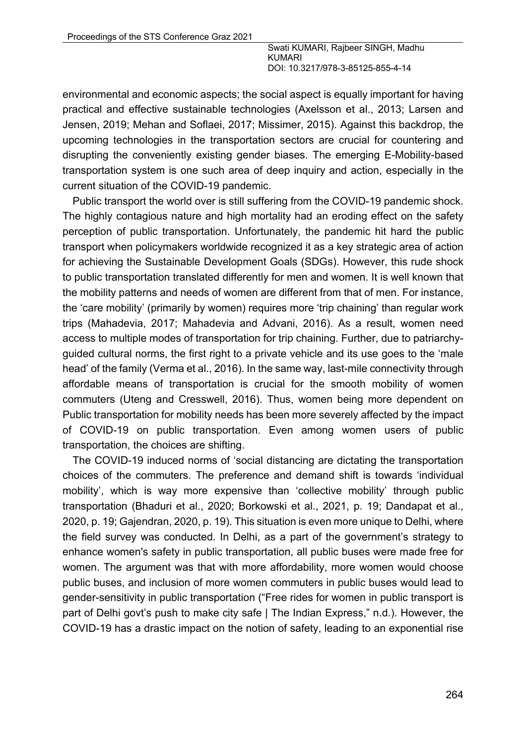environmental and economic aspects; the social aspect is equally important for having practical and effective sustainable technologies (Axelsson et al., 2013; Larsen and Jensen, 2019; Mehan and Soflaei, 2017; Missimer, 2015). Against this backdrop, the upcoming technologies in the transportation sectors are crucial for countering and disrupting the conveniently existing gender biases. The emerging E-Mobility-based transportation system is one such area of deep inquiry and action, especially in the current situation of the COVID-19 pandemic.

Public transport the world over is still suffering from the COVID-19 pandemic shock. The highly contagious nature and high mortality had an eroding effect on the safety perception of public transportation. Unfortunately, the pandemic hit hard the public transport when policymakers worldwide recognized it as a key strategic area of action for achieving the Sustainable Development Goals (SDGs). However, this rude shock to public transportation translated differently for men and women. It is well known that the mobility patterns and needs of women are different from that of men. For instance, the 'care mobility' (primarily by women) requires more 'trip chaining' than regular work trips (Mahadevia, 2017; Mahadevia and Advani, 2016). As a result, women need access to multiple modes of transportation for trip chaining. Further, due to patriarchyguided cultural norms, the first right to a private vehicle and its use goes to the 'male head' of the family (Verma et al., 2016). In the same way, last-mile connectivity through affordable means of transportation is crucial for the smooth mobility of women commuters (Uteng and Cresswell, 2016). Thus, women being more dependent on Public transportation for mobility needs has been more severely affected by the impact of COVID-19 on public transportation. Even among women users of public transportation, the choices are shifting.

The COVID-19 induced norms of 'social distancing are dictating the transportation choices of the commuters. The preference and demand shift is towards 'individual mobility', which is way more expensive than 'collective mobility' through public transportation (Bhaduri et al., 2020; Borkowski et al., 2021, p. 19; Dandapat et al., 2020, p. 19; Gajendran, 2020, p. 19). This situation is even more unique to Delhi, where the field survey was conducted. In Delhi, as a part of the government's strategy to enhance women's safety in public transportation, all public buses were made free for women. The argument was that with more affordability, more women would choose public buses, and inclusion of more women commuters in public buses would lead to gender-sensitivity in public transportation ("Free rides for women in public transport is part of Delhi govt's push to make city safe | The Indian Express," n.d.). However, the COVID-19 has a drastic impact on the notion of safety, leading to an exponential rise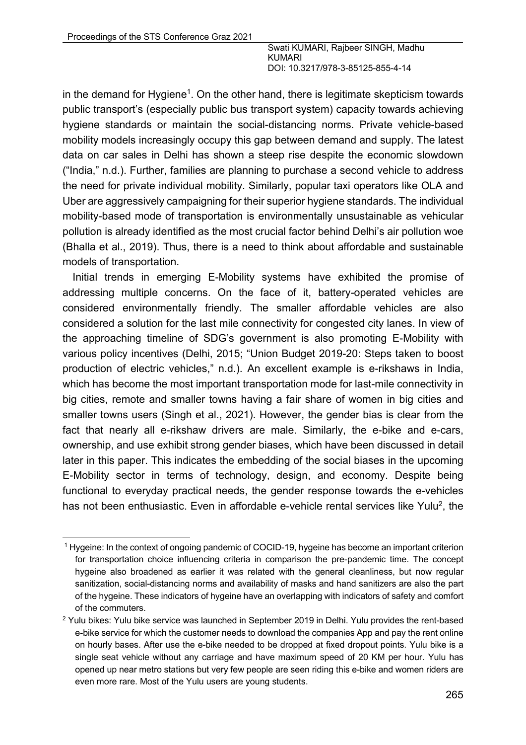in the demand for Hygiene<sup>1</sup>. On the other hand, there is legitimate skepticism towards public transport's (especially public bus transport system) capacity towards achieving hygiene standards or maintain the social-distancing norms. Private vehicle-based mobility models increasingly occupy this gap between demand and supply. The latest data on car sales in Delhi has shown a steep rise despite the economic slowdown ("India," n.d.). Further, families are planning to purchase a second vehicle to address the need for private individual mobility. Similarly, popular taxi operators like OLA and Uber are aggressively campaigning for their superior hygiene standards. The individual mobility-based mode of transportation is environmentally unsustainable as vehicular pollution is already identified as the most crucial factor behind Delhi's air pollution woe (Bhalla et al., 2019). Thus, there is a need to think about affordable and sustainable models of transportation.

Initial trends in emerging E-Mobility systems have exhibited the promise of addressing multiple concerns. On the face of it, battery-operated vehicles are considered environmentally friendly. The smaller affordable vehicles are also considered a solution for the last mile connectivity for congested city lanes. In view of the approaching timeline of SDG's government is also promoting E-Mobility with various policy incentives (Delhi, 2015; "Union Budget 2019-20: Steps taken to boost production of electric vehicles," n.d.). An excellent example is e-rikshaws in India, which has become the most important transportation mode for last-mile connectivity in big cities, remote and smaller towns having a fair share of women in big cities and smaller towns users (Singh et al., 2021). However, the gender bias is clear from the fact that nearly all e-rikshaw drivers are male. Similarly, the e-bike and e-cars, ownership, and use exhibit strong gender biases, which have been discussed in detail later in this paper. This indicates the embedding of the social biases in the upcoming E-Mobility sector in terms of technology, design, and economy. Despite being functional to everyday practical needs, the gender response towards the e-vehicles has not been enthusiastic. Even in affordable e-vehicle rental services like Yulu<sup>2</sup>, the

<sup>1</sup> Hygeine: In the context of ongoing pandemic of COCID-19, hygeine has become an important criterion for transportation choice influencing criteria in comparison the pre-pandemic time. The concept hygeine also broadened as earlier it was related with the general cleanliness, but now regular sanitization, social-distancing norms and availability of masks and hand sanitizers are also the part of the hygeine. These indicators of hygeine have an overlapping with indicators of safety and comfort of the commuters.

<sup>&</sup>lt;sup>2</sup> Yulu bikes: Yulu bike service was launched in September 2019 in Delhi. Yulu provides the rent-based e-bike service for which the customer needs to download the companies App and pay the rent online on hourly bases. After use the e-bike needed to be dropped at fixed dropout points. Yulu bike is a single seat vehicle without any carriage and have maximum speed of 20 KM per hour. Yulu has opened up near metro stations but very few people are seen riding this e-bike and women riders are even more rare. Most of the Yulu users are young students.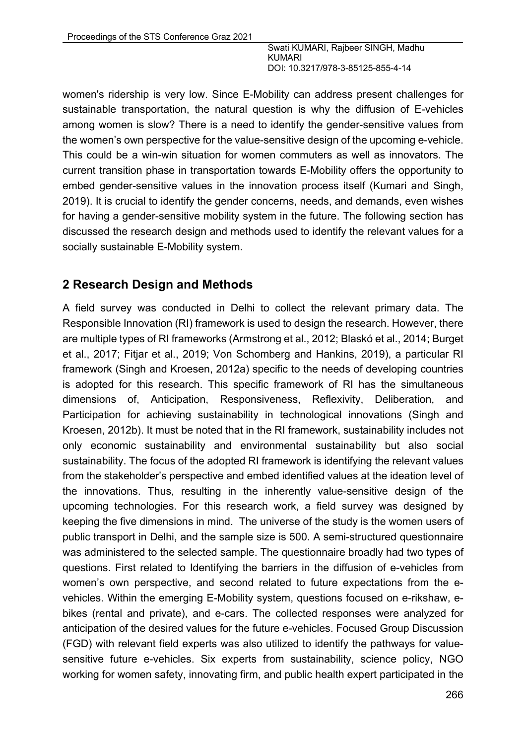women's ridership is very low. Since E-Mobility can address present challenges for sustainable transportation, the natural question is why the diffusion of E-vehicles among women is slow? There is a need to identify the gender-sensitive values from the women's own perspective for the value-sensitive design of the upcoming e-vehicle. This could be a win-win situation for women commuters as well as innovators. The current transition phase in transportation towards E-Mobility offers the opportunity to embed gender-sensitive values in the innovation process itself (Kumari and Singh, 2019). It is crucial to identify the gender concerns, needs, and demands, even wishes for having a gender-sensitive mobility system in the future. The following section has discussed the research design and methods used to identify the relevant values for a socially sustainable E-Mobility system.

## **2 Research Design and Methods**

A field survey was conducted in Delhi to collect the relevant primary data. The Responsible Innovation (RI) framework is used to design the research. However, there are multiple types of RI frameworks (Armstrong et al., 2012; Blaskó et al., 2014; Burget et al., 2017; Fitjar et al., 2019; Von Schomberg and Hankins, 2019), a particular RI framework (Singh and Kroesen, 2012a) specific to the needs of developing countries is adopted for this research. This specific framework of RI has the simultaneous dimensions of, Anticipation, Responsiveness, Reflexivity, Deliberation, and Participation for achieving sustainability in technological innovations (Singh and Kroesen, 2012b). It must be noted that in the RI framework, sustainability includes not only economic sustainability and environmental sustainability but also social sustainability. The focus of the adopted RI framework is identifying the relevant values from the stakeholder's perspective and embed identified values at the ideation level of the innovations. Thus, resulting in the inherently value-sensitive design of the upcoming technologies. For this research work, a field survey was designed by keeping the five dimensions in mind. The universe of the study is the women users of public transport in Delhi, and the sample size is 500. A semi-structured questionnaire was administered to the selected sample. The questionnaire broadly had two types of questions. First related to Identifying the barriers in the diffusion of e-vehicles from women's own perspective, and second related to future expectations from the evehicles. Within the emerging E-Mobility system, questions focused on e-rikshaw, ebikes (rental and private), and e-cars. The collected responses were analyzed for anticipation of the desired values for the future e-vehicles. Focused Group Discussion (FGD) with relevant field experts was also utilized to identify the pathways for valuesensitive future e-vehicles. Six experts from sustainability, science policy, NGO working for women safety, innovating firm, and public health expert participated in the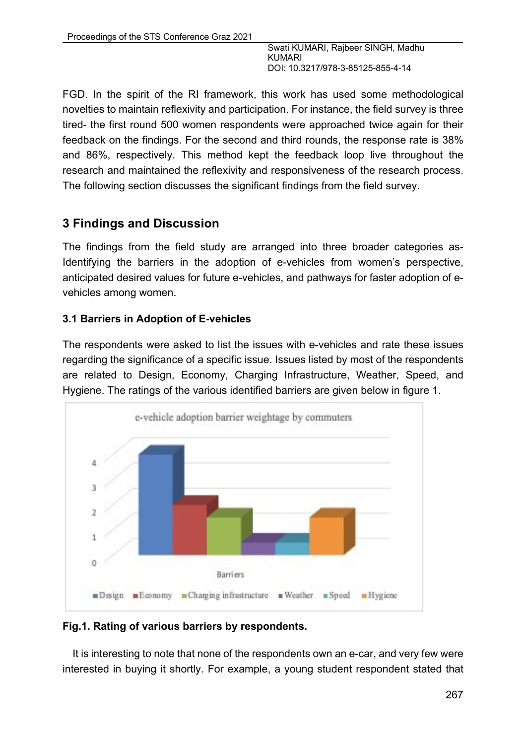FGD. In the spirit of the RI framework, this work has used some methodological novelties to maintain reflexivity and participation. For instance, the field survey is three tired- the first round 500 women respondents were approached twice again for their feedback on the findings. For the second and third rounds, the response rate is 38% and 86%, respectively. This method kept the feedback loop live throughout the research and maintained the reflexivity and responsiveness of the research process. The following section discusses the significant findings from the field survey.

# **3 Findings and Discussion**

The findings from the field study are arranged into three broader categories as-Identifying the barriers in the adoption of e-vehicles from women's perspective, anticipated desired values for future e-vehicles, and pathways for faster adoption of evehicles among women.

## **3.1 Barriers in Adoption of E-vehicles**

The respondents were asked to list the issues with e-vehicles and rate these issues regarding the significance of a specific issue. Issues listed by most of the respondents are related to Design, Economy, Charging Infrastructure, Weather, Speed, and Hygiene. The ratings of the various identified barriers are given below in figure 1.



### **Fig.1. Rating of various barriers by respondents.**

It is interesting to note that none of the respondents own an e-car, and very few were interested in buying it shortly. For example, a young student respondent stated that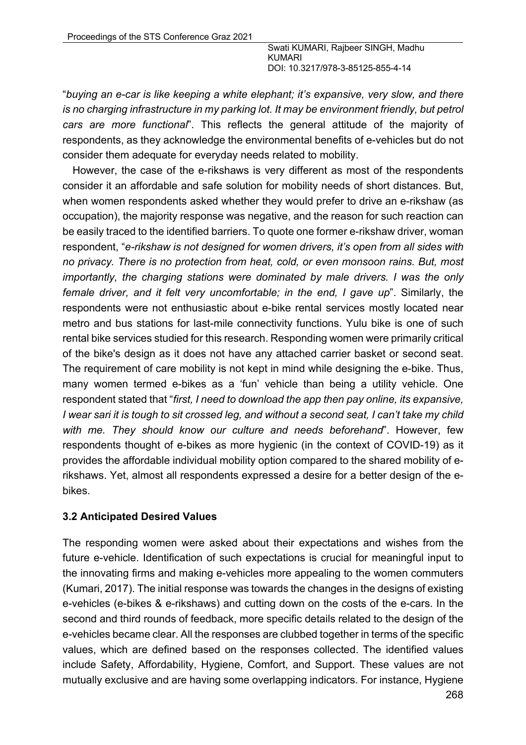"*buying an e-car is like keeping a white elephant; it's expansive, very slow, and there is no charging infrastructure in my parking lot. It may be environment friendly, but petrol cars are more functional*". This reflects the general attitude of the majority of respondents, as they acknowledge the environmental benefits of e-vehicles but do not consider them adequate for everyday needs related to mobility.

However, the case of the e-rikshaws is very different as most of the respondents consider it an affordable and safe solution for mobility needs of short distances. But, when women respondents asked whether they would prefer to drive an e-rikshaw (as occupation), the majority response was negative, and the reason for such reaction can be easily traced to the identified barriers. To quote one former e-rikshaw driver, woman respondent, "*e-rikshaw is not designed for women drivers, it's open from all sides with no privacy. There is no protection from heat, cold, or even monsoon rains. But, most importantly, the charging stations were dominated by male drivers. I was the only female driver, and it felt very uncomfortable; in the end, I gave up*". Similarly, the respondents were not enthusiastic about e-bike rental services mostly located near metro and bus stations for last-mile connectivity functions. Yulu bike is one of such rental bike services studied for this research. Responding women were primarily critical of the bike's design as it does not have any attached carrier basket or second seat. The requirement of care mobility is not kept in mind while designing the e-bike. Thus, many women termed e-bikes as a 'fun' vehicle than being a utility vehicle. One respondent stated that "*first, I need to download the app then pay online, its expansive, I wear sari it is tough to sit crossed leg, and without a second seat, I can't take my child with me. They should know our culture and needs beforehand*". However, few respondents thought of e-bikes as more hygienic (in the context of COVID-19) as it provides the affordable individual mobility option compared to the shared mobility of erikshaws. Yet, almost all respondents expressed a desire for a better design of the ebikes.

#### **3.2 Anticipated Desired Values**

The responding women were asked about their expectations and wishes from the future e-vehicle. Identification of such expectations is crucial for meaningful input to the innovating firms and making e-vehicles more appealing to the women commuters (Kumari, 2017). The initial response was towards the changes in the designs of existing e-vehicles (e-bikes & e-rikshaws) and cutting down on the costs of the e-cars. In the second and third rounds of feedback, more specific details related to the design of the e-vehicles became clear. All the responses are clubbed together in terms of the specific values, which are defined based on the responses collected. The identified values include Safety, Affordability, Hygiene, Comfort, and Support. These values are not mutually exclusive and are having some overlapping indicators. For instance, Hygiene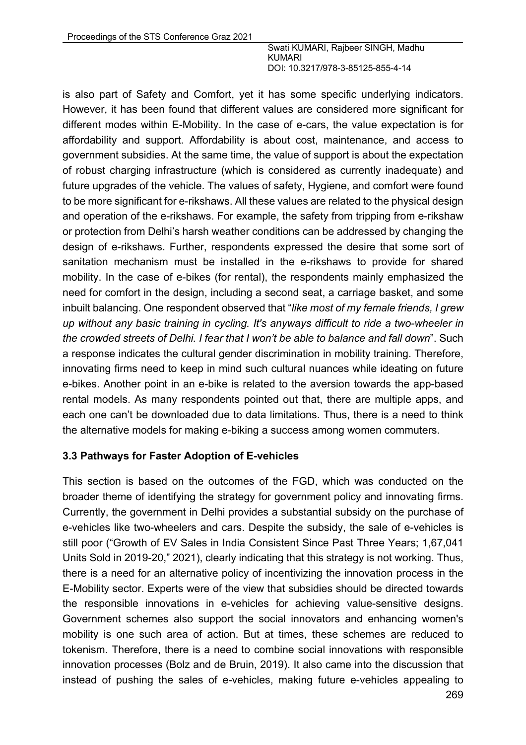is also part of Safety and Comfort, yet it has some specific underlying indicators. However, it has been found that different values are considered more significant for different modes within E-Mobility. In the case of e-cars, the value expectation is for affordability and support. Affordability is about cost, maintenance, and access to government subsidies. At the same time, the value of support is about the expectation of robust charging infrastructure (which is considered as currently inadequate) and future upgrades of the vehicle. The values of safety, Hygiene, and comfort were found to be more significant for e-rikshaws. All these values are related to the physical design and operation of the e-rikshaws. For example, the safety from tripping from e-rikshaw or protection from Delhi's harsh weather conditions can be addressed by changing the design of e-rikshaws. Further, respondents expressed the desire that some sort of sanitation mechanism must be installed in the e-rikshaws to provide for shared mobility. In the case of e-bikes (for rental), the respondents mainly emphasized the need for comfort in the design, including a second seat, a carriage basket, and some inbuilt balancing. One respondent observed that "*like most of my female friends, I grew up without any basic training in cycling. It's anyways difficult to ride a two-wheeler in the crowded streets of Delhi. I fear that I won't be able to balance and fall down*". Such a response indicates the cultural gender discrimination in mobility training. Therefore, innovating firms need to keep in mind such cultural nuances while ideating on future e-bikes. Another point in an e-bike is related to the aversion towards the app-based rental models. As many respondents pointed out that, there are multiple apps, and each one can't be downloaded due to data limitations. Thus, there is a need to think the alternative models for making e-biking a success among women commuters.

#### **3.3 Pathways for Faster Adoption of E-vehicles**

This section is based on the outcomes of the FGD, which was conducted on the broader theme of identifying the strategy for government policy and innovating firms. Currently, the government in Delhi provides a substantial subsidy on the purchase of e-vehicles like two-wheelers and cars. Despite the subsidy, the sale of e-vehicles is still poor ("Growth of EV Sales in India Consistent Since Past Three Years; 1,67,041 Units Sold in 2019-20," 2021), clearly indicating that this strategy is not working. Thus, there is a need for an alternative policy of incentivizing the innovation process in the E-Mobility sector. Experts were of the view that subsidies should be directed towards the responsible innovations in e-vehicles for achieving value-sensitive designs. Government schemes also support the social innovators and enhancing women's mobility is one such area of action. But at times, these schemes are reduced to tokenism. Therefore, there is a need to combine social innovations with responsible innovation processes (Bolz and de Bruin, 2019). It also came into the discussion that instead of pushing the sales of e-vehicles, making future e-vehicles appealing to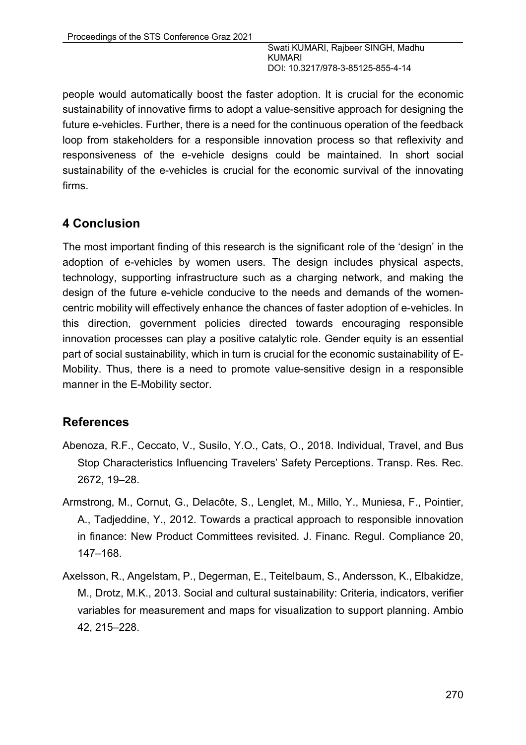people would automatically boost the faster adoption. It is crucial for the economic sustainability of innovative firms to adopt a value-sensitive approach for designing the future e-vehicles. Further, there is a need for the continuous operation of the feedback loop from stakeholders for a responsible innovation process so that reflexivity and responsiveness of the e-vehicle designs could be maintained. In short social sustainability of the e-vehicles is crucial for the economic survival of the innovating firms.

## **4 Conclusion**

The most important finding of this research is the significant role of the 'design' in the adoption of e-vehicles by women users. The design includes physical aspects, technology, supporting infrastructure such as a charging network, and making the design of the future e-vehicle conducive to the needs and demands of the womencentric mobility will effectively enhance the chances of faster adoption of e-vehicles. In this direction, government policies directed towards encouraging responsible innovation processes can play a positive catalytic role. Gender equity is an essential part of social sustainability, which in turn is crucial for the economic sustainability of E-Mobility. Thus, there is a need to promote value-sensitive design in a responsible manner in the E-Mobility sector.

## **References**

- Abenoza, R.F., Ceccato, V., Susilo, Y.O., Cats, O., 2018. Individual, Travel, and Bus Stop Characteristics Influencing Travelers' Safety Perceptions. Transp. Res. Rec. 2672, 19–28.
- Armstrong, M., Cornut, G., Delacôte, S., Lenglet, M., Millo, Y., Muniesa, F., Pointier, A., Tadjeddine, Y., 2012. Towards a practical approach to responsible innovation in finance: New Product Committees revisited. J. Financ. Regul. Compliance 20, 147–168.
- Axelsson, R., Angelstam, P., Degerman, E., Teitelbaum, S., Andersson, K., Elbakidze, M., Drotz, M.K., 2013. Social and cultural sustainability: Criteria, indicators, verifier variables for measurement and maps for visualization to support planning. Ambio 42, 215–228.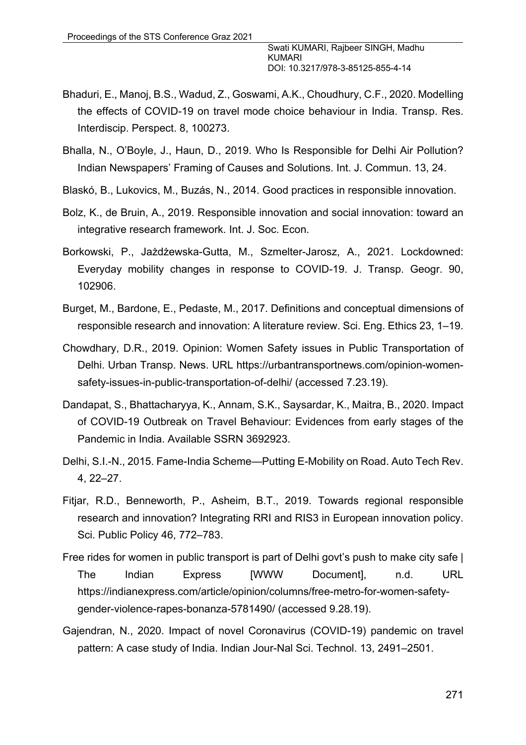- Bhaduri, E., Manoj, B.S., Wadud, Z., Goswami, A.K., Choudhury, C.F., 2020. Modelling the effects of COVID-19 on travel mode choice behaviour in India. Transp. Res. Interdiscip. Perspect. 8, 100273.
- Bhalla, N., O'Boyle, J., Haun, D., 2019. Who Is Responsible for Delhi Air Pollution? Indian Newspapers' Framing of Causes and Solutions. Int. J. Commun. 13, 24.
- Blaskó, B., Lukovics, M., Buzás, N., 2014. Good practices in responsible innovation.
- Bolz, K., de Bruin, A., 2019. Responsible innovation and social innovation: toward an integrative research framework. Int. J. Soc. Econ.
- Borkowski, P., Jażdżewska-Gutta, M., Szmelter-Jarosz, A., 2021. Lockdowned: Everyday mobility changes in response to COVID-19. J. Transp. Geogr. 90, 102906.
- Burget, M., Bardone, E., Pedaste, M., 2017. Definitions and conceptual dimensions of responsible research and innovation: A literature review. Sci. Eng. Ethics 23, 1–19.
- Chowdhary, D.R., 2019. Opinion: Women Safety issues in Public Transportation of Delhi. Urban Transp. News. URL https://urbantransportnews.com/opinion-womensafety-issues-in-public-transportation-of-delhi/ (accessed 7.23.19).
- Dandapat, S., Bhattacharyya, K., Annam, S.K., Saysardar, K., Maitra, B., 2020. Impact of COVID-19 Outbreak on Travel Behaviour: Evidences from early stages of the Pandemic in India. Available SSRN 3692923.
- Delhi, S.I.-N., 2015. Fame-India Scheme—Putting E-Mobility on Road. Auto Tech Rev. 4, 22–27.
- Fitjar, R.D., Benneworth, P., Asheim, B.T., 2019. Towards regional responsible research and innovation? Integrating RRI and RIS3 in European innovation policy. Sci. Public Policy 46, 772–783.
- Free rides for women in public transport is part of Delhi govt's push to make city safe | The Indian Express [WWW Document], n.d. URL https://indianexpress.com/article/opinion/columns/free-metro-for-women-safetygender-violence-rapes-bonanza-5781490/ (accessed 9.28.19).
- Gajendran, N., 2020. Impact of novel Coronavirus (COVID-19) pandemic on travel pattern: A case study of India. Indian Jour-Nal Sci. Technol. 13, 2491–2501.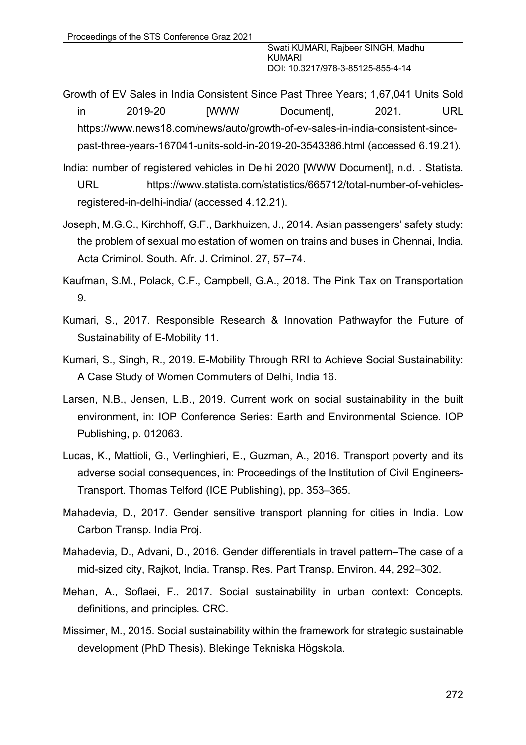- Growth of EV Sales in India Consistent Since Past Three Years; 1,67,041 Units Sold in 2019-20 [WWW Document], 2021. URL https://www.news18.com/news/auto/growth-of-ev-sales-in-india-consistent-sincepast-three-years-167041-units-sold-in-2019-20-3543386.html (accessed 6.19.21).
- India: number of registered vehicles in Delhi 2020 [WWW Document], n.d. . Statista. URL https://www.statista.com/statistics/665712/total-number-of-vehiclesregistered-in-delhi-india/ (accessed 4.12.21).
- Joseph, M.G.C., Kirchhoff, G.F., Barkhuizen, J., 2014. Asian passengers' safety study: the problem of sexual molestation of women on trains and buses in Chennai, India. Acta Criminol. South. Afr. J. Criminol. 27, 57–74.
- Kaufman, S.M., Polack, C.F., Campbell, G.A., 2018. The Pink Tax on Transportation 9.
- Kumari, S., 2017. Responsible Research & Innovation Pathwayfor the Future of Sustainability of E-Mobility 11.
- Kumari, S., Singh, R., 2019. E-Mobility Through RRI to Achieve Social Sustainability: A Case Study of Women Commuters of Delhi, India 16.
- Larsen, N.B., Jensen, L.B., 2019. Current work on social sustainability in the built environment, in: IOP Conference Series: Earth and Environmental Science. IOP Publishing, p. 012063.
- Lucas, K., Mattioli, G., Verlinghieri, E., Guzman, A., 2016. Transport poverty and its adverse social consequences, in: Proceedings of the Institution of Civil Engineers-Transport. Thomas Telford (ICE Publishing), pp. 353–365.
- Mahadevia, D., 2017. Gender sensitive transport planning for cities in India. Low Carbon Transp. India Proj.
- Mahadevia, D., Advani, D., 2016. Gender differentials in travel pattern–The case of a mid-sized city, Rajkot, India. Transp. Res. Part Transp. Environ. 44, 292–302.
- Mehan, A., Soflaei, F., 2017. Social sustainability in urban context: Concepts, definitions, and principles. CRC.
- Missimer, M., 2015. Social sustainability within the framework for strategic sustainable development (PhD Thesis). Blekinge Tekniska Högskola.